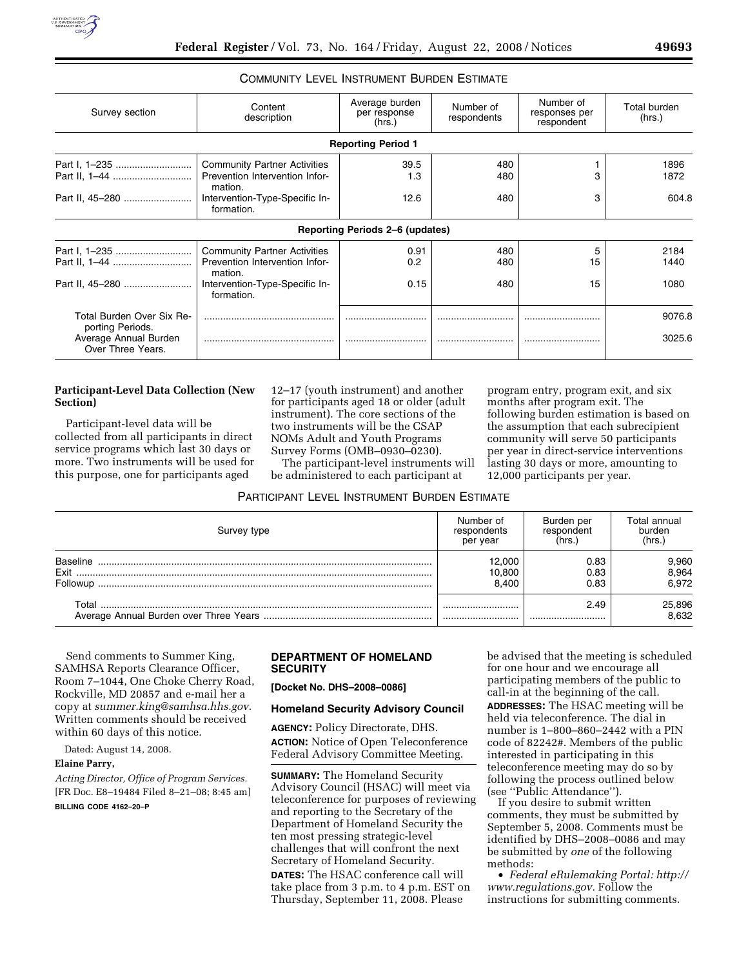

## COMMUNITY LEVEL INSTRUMENT BURDEN ESTIMATE

| Survey section                                                                              | Content<br>description                                                                                                           | Average burden<br>per response<br>(hrs.) | Number of<br>respondents | Number of<br>responses per<br>respondent | Total burden<br>(hrs.) |
|---------------------------------------------------------------------------------------------|----------------------------------------------------------------------------------------------------------------------------------|------------------------------------------|--------------------------|------------------------------------------|------------------------|
|                                                                                             |                                                                                                                                  | <b>Reporting Period 1</b>                |                          |                                          |                        |
| Part I, 1-235<br>Part II, 45-280                                                            | <b>Community Partner Activities</b><br>Prevention Intervention Infor-<br>mation.<br>Intervention-Type-Specific In-<br>formation. | 39.5<br>1.3<br>12.6                      | 480<br>480<br>480        | з<br>3                                   | 1896<br>1872<br>604.8  |
|                                                                                             |                                                                                                                                  | Reporting Periods 2–6 (updates)          |                          |                                          |                        |
| Part I, 1-235                                                                               | <b>Community Partner Activities</b><br>Prevention Intervention Infor-<br>mation.<br>Intervention-Type-Specific In-<br>formation. | 0.91<br>0.2<br>0.15                      | 480<br>480<br>480        | 5<br>15<br>15                            | 2184<br>1440<br>1080   |
| Total Burden Over Six Re-<br>porting Periods.<br>Average Annual Burden<br>Over Three Years. |                                                                                                                                  |                                          |                          | <br>                                     | 9076.8<br>3025.6       |

### **Participant-Level Data Collection (New Section)**

Participant-level data will be collected from all participants in direct service programs which last 30 days or more. Two instruments will be used for this purpose, one for participants aged

12–17 (youth instrument) and another for participants aged 18 or older (adult instrument). The core sections of the two instruments will be the CSAP NOMs Adult and Youth Programs Survey Forms (OMB–0930–0230).

The participant-level instruments will be administered to each participant at

program entry, program exit, and six months after program exit. The following burden estimation is based on the assumption that each subrecipient community will serve 50 participants per year in direct-service interventions lasting 30 days or more, amounting to 12,000 participants per year.

# PARTICIPANT LEVEL INSTRUMENT BURDEN ESTIMATE

| Survey type                         | Number of                 | Burden per           | Total annual            |
|-------------------------------------|---------------------------|----------------------|-------------------------|
|                                     | respondents               | respondent           | burden                  |
|                                     | per year                  | (hrs.                | (hrs.)                  |
| <b>Baseline</b><br>Exit<br>Followup | 12.000<br>10,800<br>8.400 | 0.83<br>0.83<br>0.83 | 9,960<br>8,964<br>6.972 |
| Total                               |                           | 2.49                 | 25,896                  |
|                                     |                           |                      | 8.632                   |

Send comments to Summer King, SAMHSA Reports Clearance Officer, Room 7–1044, One Choke Cherry Road, Rockville, MD 20857 and e-mail her a copy at *summer.king@samhsa.hhs.gov.*  Written comments should be received within 60 days of this notice.

Dated: August 14, 2008.

## **Elaine Parry,**

*Acting Director, Office of Program Services.*  [FR Doc. E8–19484 Filed 8–21–08; 8:45 am] **BILLING CODE 4162–20–P** 

## **DEPARTMENT OF HOMELAND SECURITY**

**[Docket No. DHS–2008–0086]** 

#### **Homeland Security Advisory Council**

**AGENCY:** Policy Directorate, DHS. **ACTION:** Notice of Open Teleconference Federal Advisory Committee Meeting.

**SUMMARY:** The Homeland Security Advisory Council (HSAC) will meet via teleconference for purposes of reviewing and reporting to the Secretary of the Department of Homeland Security the ten most pressing strategic-level challenges that will confront the next Secretary of Homeland Security.

**DATES:** The HSAC conference call will take place from 3 p.m. to 4 p.m. EST on Thursday, September 11, 2008. Please

be advised that the meeting is scheduled for one hour and we encourage all participating members of the public to call-in at the beginning of the call. **ADDRESSES:** The HSAC meeting will be held via teleconference. The dial in number is 1–800–860–2442 with a PIN code of 82242#. Members of the public interested in participating in this teleconference meeting may do so by following the process outlined below (see ''Public Attendance'').

If you desire to submit written comments, they must be submitted by September 5, 2008. Comments must be identified by DHS–2008–0086 and may be submitted by *one* of the following methods:

• *Federal eRulemaking Portal: http:// www.regulations.gov.* Follow the instructions for submitting comments.